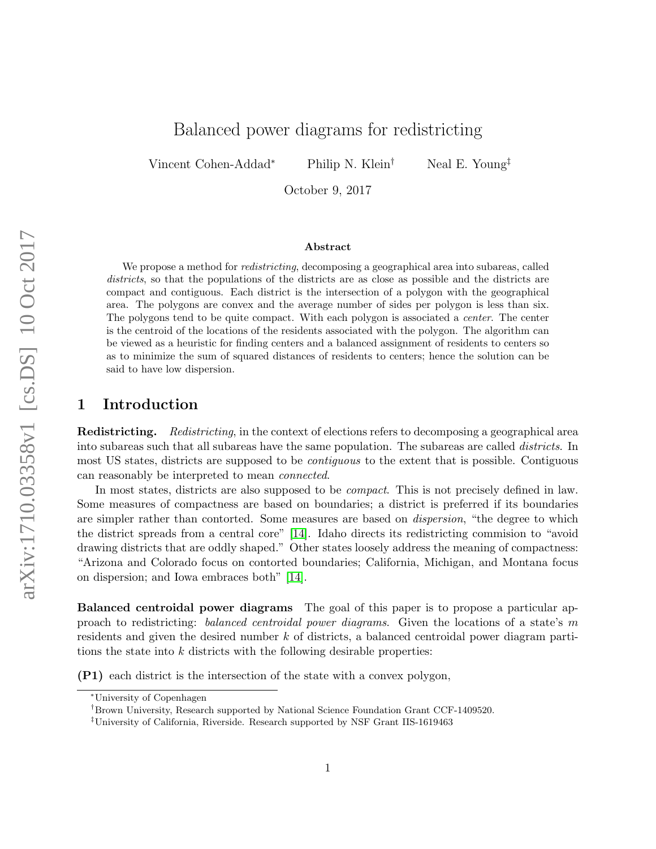# Balanced power diagrams for redistricting

Vincent Cohen-Addad<sup>∗</sup> Philip N. Klein† Neal E. Young‡

October 9, 2017

#### Abstract

We propose a method for *redistricting*, decomposing a geographical area into subareas, called districts, so that the populations of the districts are as close as possible and the districts are compact and contiguous. Each district is the intersection of a polygon with the geographical area. The polygons are convex and the average number of sides per polygon is less than six. The polygons tend to be quite compact. With each polygon is associated a center. The center is the centroid of the locations of the residents associated with the polygon. The algorithm can be viewed as a heuristic for finding centers and a balanced assignment of residents to centers so as to minimize the sum of squared distances of residents to centers; hence the solution can be said to have low dispersion.

### 1 Introduction

Redistricting. Redistricting, in the context of elections refers to decomposing a geographical area into subareas such that all subareas have the same population. The subareas are called *districts*. In most US states, districts are supposed to be contiguous to the extent that is possible. Contiguous can reasonably be interpreted to mean connected.

In most states, districts are also supposed to be *compact*. This is not precisely defined in law. Some measures of compactness are based on boundaries; a district is preferred if its boundaries are simpler rather than contorted. Some measures are based on *dispersion*, "the degree to which the district spreads from a central core" [\[14\]](#page-15-0). Idaho directs its redistricting commision to "avoid drawing districts that are oddly shaped." Other states loosely address the meaning of compactness: "Arizona and Colorado focus on contorted boundaries; California, Michigan, and Montana focus on dispersion; and Iowa embraces both" [\[14\]](#page-15-0).

Balanced centroidal power diagrams The goal of this paper is to propose a particular approach to redistricting: balanced centroidal power diagrams. Given the locations of a state's m residents and given the desired number k of districts, a balanced centroidal power diagram partitions the state into  $k$  districts with the following desirable properties:

(P1) each district is the intersection of the state with a convex polygon,

<sup>∗</sup>University of Copenhagen

<sup>†</sup>Brown University, Research supported by National Science Foundation Grant CCF-1409520.

<sup>‡</sup>University of California, Riverside. Research supported by NSF Grant IIS-1619463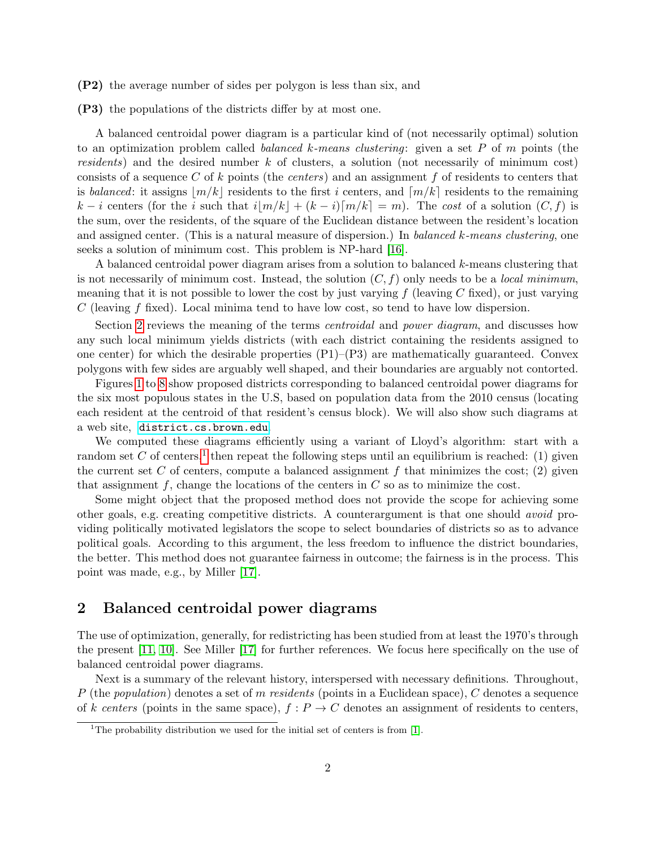- (P2) the average number of sides per polygon is less than six, and
- (P3) the populations of the districts differ by at most one.

A balanced centroidal power diagram is a particular kind of (not necessarily optimal) solution to an optimization problem called *balanced k-means clustering*: given a set  $P$  of  $m$  points (the residents) and the desired number  $k$  of clusters, a solution (not necessarily of minimum cost) consists of a sequence C of k points (the *centers*) and an assignment f of residents to centers that is balanced: it assigns  $|m/k|$  residents to the first i centers, and  $[m/k]$  residents to the remaining k – i centers (for the i such that  $i|m/k| + (k-i)[m/k] = m$ ). The cost of a solution  $(C, f)$  is the sum, over the residents, of the square of the Euclidean distance between the resident's location and assigned center. (This is a natural measure of dispersion.) In balanced k-means clustering, one seeks a solution of minimum cost. This problem is NP-hard [\[16\]](#page-15-1).

A balanced centroidal power diagram arises from a solution to balanced k-means clustering that is not necessarily of minimum cost. Instead, the solution  $(C, f)$  only needs to be a *local minimum*. meaning that it is not possible to lower the cost by just varying  $f$  (leaving C fixed), or just varying  $C$  (leaving f fixed). Local minima tend to have low cost, so tend to have low dispersion.

Section [2](#page-1-0) reviews the meaning of the terms *centroidal* and *power diagram*, and discusses how any such local minimum yields districts (with each district containing the residents assigned to one center) for which the desirable properties  $(P1)$ – $(P3)$  are mathematically guaranteed. Convex polygons with few sides are arguably well shaped, and their boundaries are arguably not contorted.

Figures [1](#page-2-0) to [8](#page-9-0) show proposed districts corresponding to balanced centroidal power diagrams for the six most populous states in the U.S, based on population data from the 2010 census (locating each resident at the centroid of that resident's census block). We will also show such diagrams at a web site, <district.cs.brown.edu>.

We computed these diagrams efficiently using a variant of Lloyd's algorithm: start with a random set C of centers,<sup>[1](#page-1-1)</sup> then repeat the following steps until an equilibrium is reached: (1) given the current set C of centers, compute a balanced assignment f that minimizes the cost;  $(2)$  given that assignment f, change the locations of the centers in  $C$  so as to minimize the cost.

Some might object that the proposed method does not provide the scope for achieving some other goals, e.g. creating competitive districts. A counterargument is that one should avoid providing politically motivated legislators the scope to select boundaries of districts so as to advance political goals. According to this argument, the less freedom to influence the district boundaries, the better. This method does not guarantee fairness in outcome; the fairness is in the process. This point was made, e.g., by Miller [\[17\]](#page-15-2).

# <span id="page-1-0"></span>2 Balanced centroidal power diagrams

The use of optimization, generally, for redistricting has been studied from at least the 1970's through the present [\[11,](#page-15-3) [10\]](#page-15-4). See Miller [\[17\]](#page-15-2) for further references. We focus here specifically on the use of balanced centroidal power diagrams.

Next is a summary of the relevant history, interspersed with necessary definitions. Throughout, P (the population) denotes a set of m residents (points in a Euclidean space), C denotes a sequence of k centers (points in the same space),  $f : P \to C$  denotes an assignment of residents to centers,

<span id="page-1-1"></span><sup>&</sup>lt;sup>1</sup>The probability distribution we used for the initial set of centers is from [\[1\]](#page-14-0).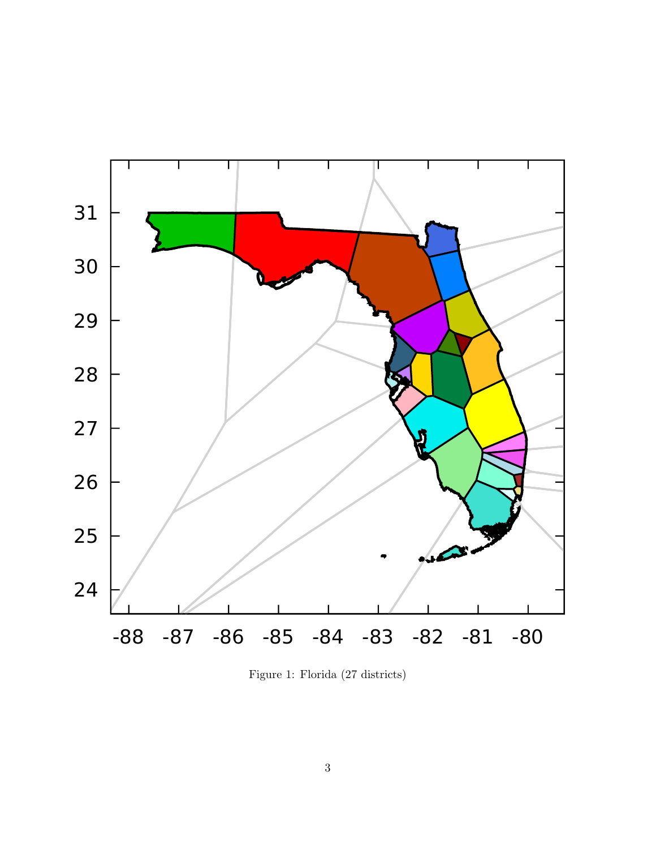<span id="page-2-0"></span>

Figure 1: Florida (27 districts)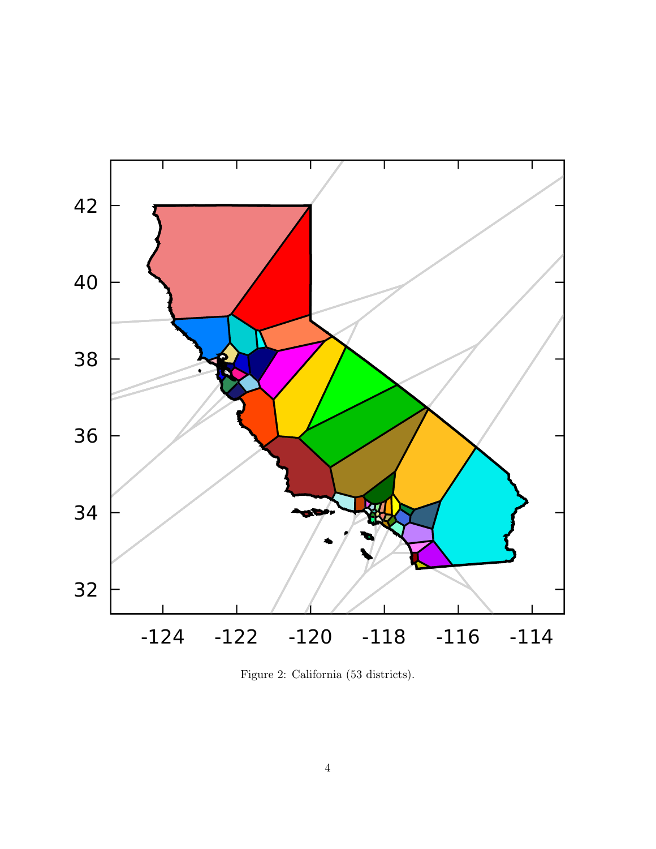

Figure 2: California (53 districts).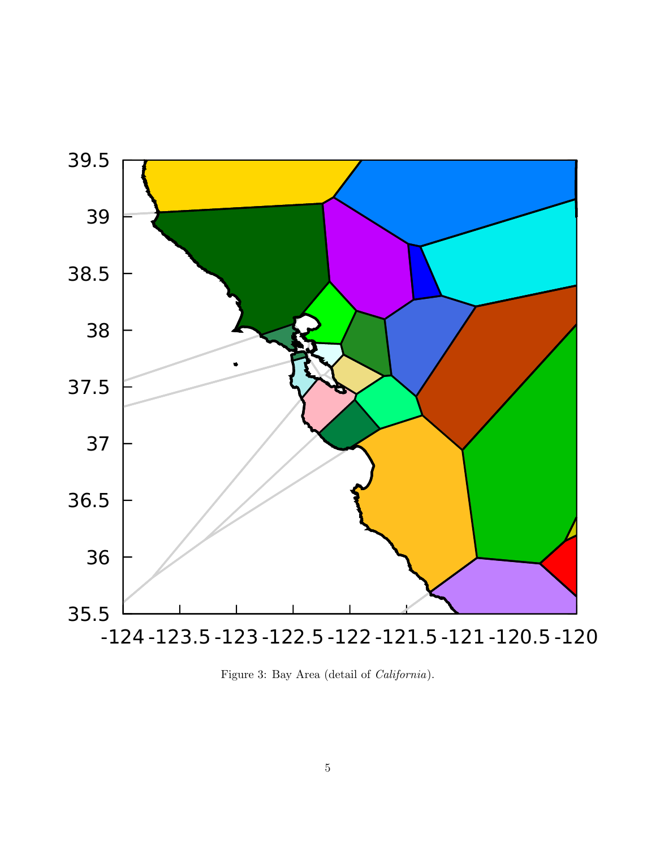

Figure 3: Bay Area (detail of California).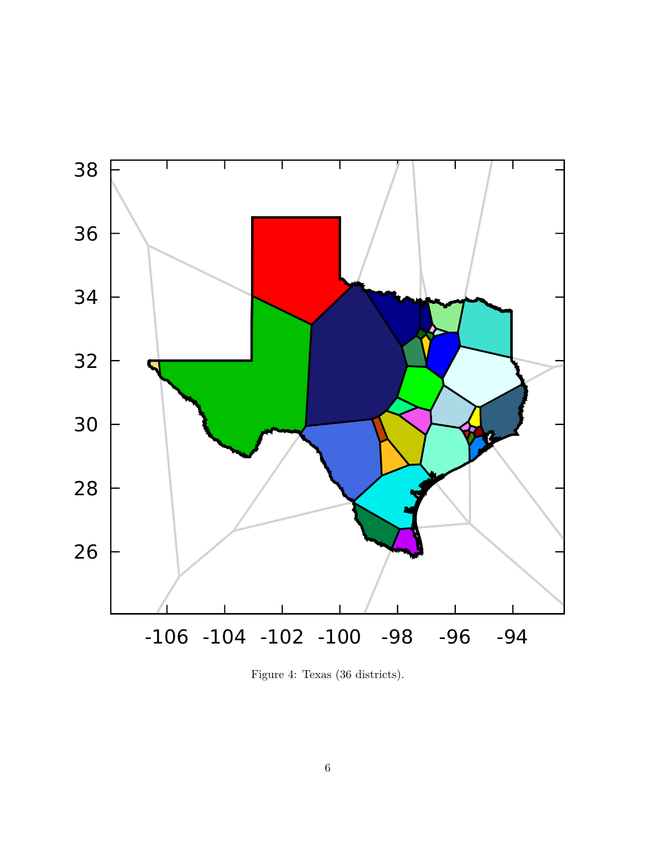

Figure 4: Texas (36 districts).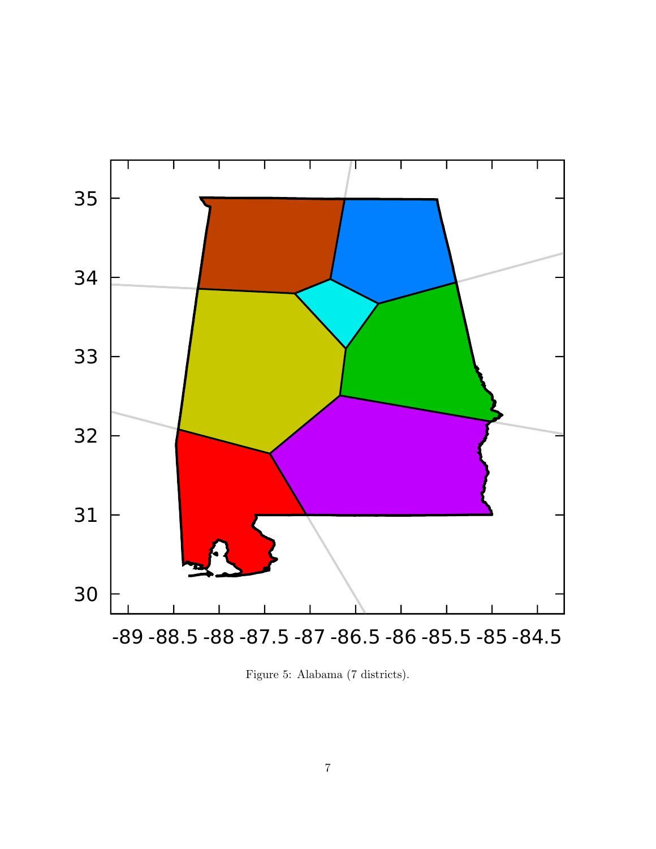

Figure 5: Alabama (7 districts).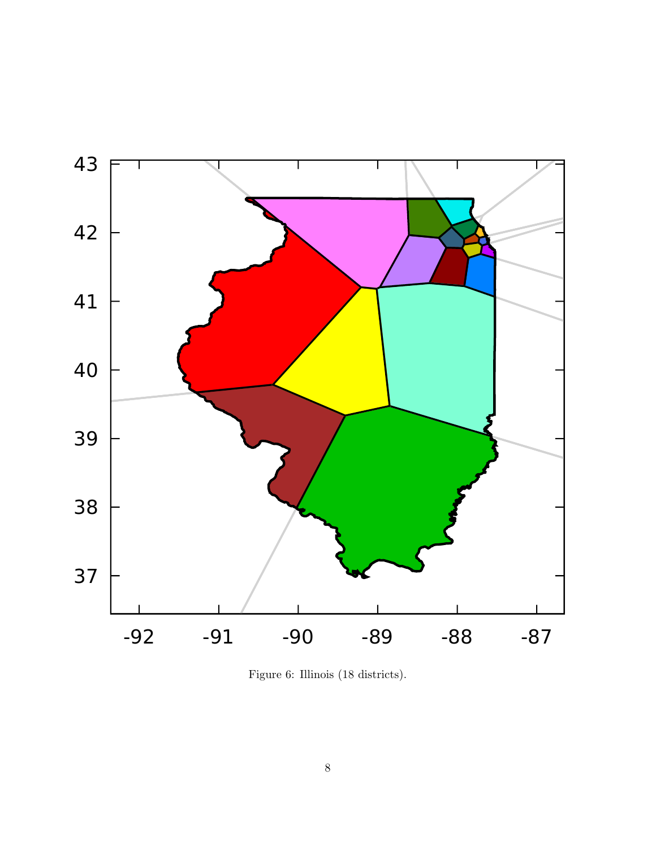

Figure 6: Illinois (18 districts).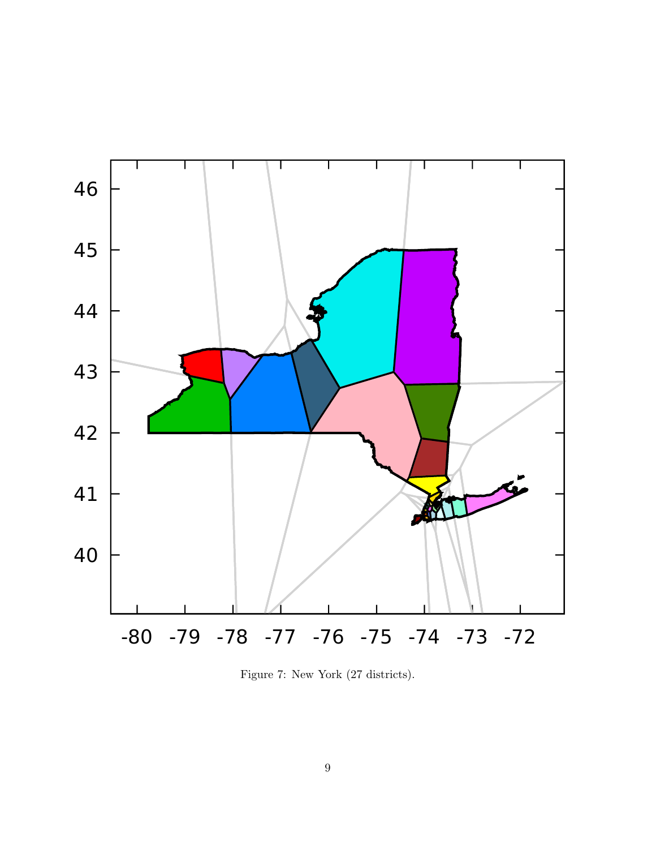

Figure 7: New York (27 districts).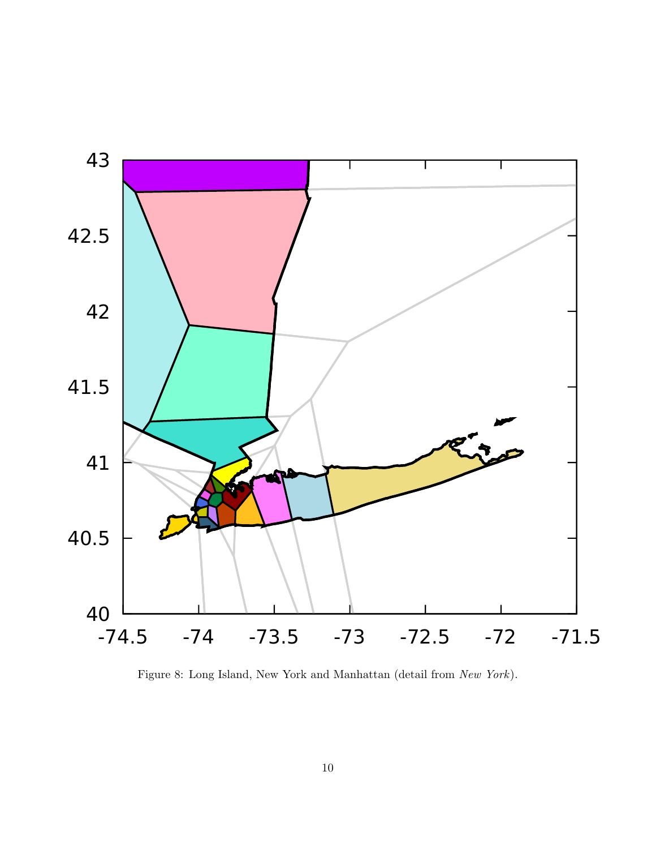<span id="page-9-0"></span>

Figure 8: Long Island, New York and Manhattan (detail from New York).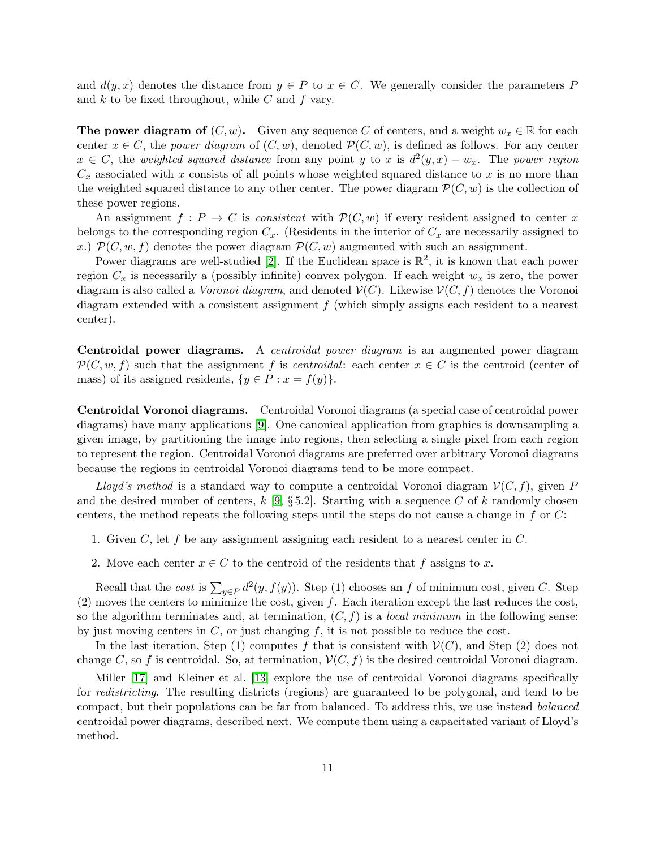and  $d(y, x)$  denotes the distance from  $y \in P$  to  $x \in C$ . We generally consider the parameters P and  $k$  to be fixed throughout, while  $C$  and  $f$  vary.

The power diagram of  $(C, w)$ . Given any sequence C of centers, and a weight  $w_x \in \mathbb{R}$  for each center  $x \in C$ , the power diagram of  $(C, w)$ , denoted  $\mathcal{P}(C, w)$ , is defined as follows. For any center  $x \in C$ , the weighted squared distance from any point y to x is  $d^2(y,x) - w_x$ . The power region  $C_x$  associated with x consists of all points whose weighted squared distance to x is no more than the weighted squared distance to any other center. The power diagram  $\mathcal{P}(C, w)$  is the collection of these power regions.

An assignment  $f: P \to C$  is consistent with  $\mathcal{P}(C, w)$  if every resident assigned to center x belongs to the corresponding region  $C_x$ . (Residents in the interior of  $C_x$  are necessarily assigned to x.)  $\mathcal{P}(C, w, f)$  denotes the power diagram  $\mathcal{P}(C, w)$  augmented with such an assignment.

Power diagrams are well-studied [\[2\]](#page-14-1). If the Euclidean space is  $\mathbb{R}^2$ , it is known that each power region  $C_x$  is necessarily a (possibly infinite) convex polygon. If each weight  $w_x$  is zero, the power diagram is also called a *Voronoi diagram*, and denoted  $V(C)$ . Likewise  $V(C, f)$  denotes the Voronoi diagram extended with a consistent assignment  $f$  (which simply assigns each resident to a nearest center).

Centroidal power diagrams. A centroidal power diagram is an augmented power diagram  $\mathcal{P}(C, w, f)$  such that the assignment f is centroidal: each center  $x \in C$  is the centroid (center of mass) of its assigned residents,  $\{y \in P : x = f(y)\}.$ 

Centroidal Voronoi diagrams. Centroidal Voronoi diagrams (a special case of centroidal power diagrams) have many applications [\[9\]](#page-15-5). One canonical application from graphics is downsampling a given image, by partitioning the image into regions, then selecting a single pixel from each region to represent the region. Centroidal Voronoi diagrams are preferred over arbitrary Voronoi diagrams because the regions in centroidal Voronoi diagrams tend to be more compact.

Lloyd's method is a standard way to compute a centroidal Voronoi diagram  $V(C, f)$ , given P and the desired number of centers,  $k \left[9, \S 5.2\right]$  $k \left[9, \S 5.2\right]$  $k \left[9, \S 5.2\right]$ . Starting with a sequence C of k randomly chosen centers, the method repeats the following steps until the steps do not cause a change in f or  $C$ :

- 1. Given C, let f be any assignment assigning each resident to a nearest center in  $C$ .
- 2. Move each center  $x \in C$  to the centroid of the residents that f assigns to x.

Recall that the *cost* is  $\sum_{y \in P} d^2(y, f(y))$ . Step (1) chooses an f of minimum cost, given C. Step  $(2)$  moves the centers to minimize the cost, given f. Each iteration except the last reduces the cost, so the algorithm terminates and, at termination,  $(C, f)$  is a *local minimum* in the following sense: by just moving centers in  $C$ , or just changing  $f$ , it is not possible to reduce the cost.

In the last iteration, Step (1) computes f that is consistent with  $\mathcal{V}(C)$ , and Step (2) does not change C, so f is centroidal. So, at termination,  $V(C, f)$  is the desired centroidal Voronoi diagram.

Miller [\[17\]](#page-15-2) and Kleiner et al. [\[13\]](#page-15-6) explore the use of centroidal Voronoi diagrams specifically for redistricting. The resulting districts (regions) are guaranteed to be polygonal, and tend to be compact, but their populations can be far from balanced. To address this, we use instead balanced centroidal power diagrams, described next. We compute them using a capacitated variant of Lloyd's method.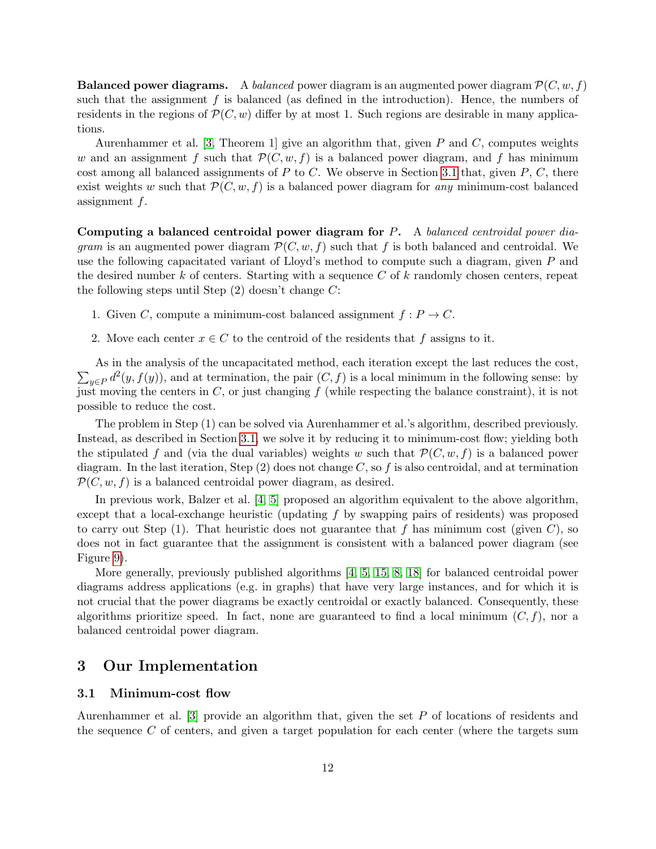**Balanced power diagrams.** A balanced power diagram is an augmented power diagram  $\mathcal{P}(C, w, f)$ such that the assignment  $f$  is balanced (as defined in the introduction). Hence, the numbers of residents in the regions of  $\mathcal{P}(C, w)$  differ by at most 1. Such regions are desirable in many applications.

Aurenhammer et al. [\[3,](#page-14-2) Theorem 1] give an algorithm that, given P and C, computes weights w and an assignment f such that  $\mathcal{P}(C, w, f)$  is a balanced power diagram, and f has minimum cost among all balanced assignments of P to C. We observe in Section [3.1](#page-11-0) that, given  $P, C$ , there exist weights w such that  $\mathcal{P}(C, w, f)$  is a balanced power diagram for any minimum-cost balanced assignment f.

Computing a balanced centroidal power diagram for P. A balanced centroidal power diagram is an augmented power diagram  $\mathcal{P}(C, w, f)$  such that f is both balanced and centroidal. We use the following capacitated variant of Lloyd's method to compute such a diagram, given  $P$  and the desired number  $k$  of centers. Starting with a sequence  $C$  of  $k$  randomly chosen centers, repeat the following steps until Step  $(2)$  doesn't change C:

- 1. Given C, compute a minimum-cost balanced assignment  $f: P \to C$ .
- 2. Move each center  $x \in C$  to the centroid of the residents that f assigns to it.

 $\sum_{y \in P} d^2(y, f(y))$ , and at termination, the pair  $(C, f)$  is a local minimum in the following sense: by As in the analysis of the uncapacitated method, each iteration except the last reduces the cost, just moving the centers in  $C$ , or just changing  $f$  (while respecting the balance constraint), it is not possible to reduce the cost.

The problem in Step (1) can be solved via Aurenhammer et al.'s algorithm, described previously. Instead, as described in Section [3.1,](#page-11-0) we solve it by reducing it to minimum-cost flow; yielding both the stipulated f and (via the dual variables) weights w such that  $\mathcal{P}(C, w, f)$  is a balanced power diagram. In the last iteration, Step  $(2)$  does not change C, so f is also centroidal, and at termination  $\mathcal{P}(C, w, f)$  is a balanced centroidal power diagram, as desired.

In previous work, Balzer et al. [\[4,](#page-14-3) [5\]](#page-15-7) proposed an algorithm equivalent to the above algorithm, except that a local-exchange heuristic (updating  $f$  by swapping pairs of residents) was proposed to carry out Step  $(1)$ . That heuristic does not guarantee that f has minimum cost (given C), so does not in fact guarantee that the assignment is consistent with a balanced power diagram (see Figure [9\)](#page-12-0).

More generally, previously published algorithms [\[4,](#page-14-3) [5,](#page-15-7) [15,](#page-15-8) [8,](#page-15-9) [18\]](#page-15-10) for balanced centroidal power diagrams address applications (e.g. in graphs) that have very large instances, and for which it is not crucial that the power diagrams be exactly centroidal or exactly balanced. Consequently, these algorithms prioritize speed. In fact, none are guaranteed to find a local minimum  $(C, f)$ , nor a balanced centroidal power diagram.

### 3 Our Implementation

#### <span id="page-11-0"></span>3.1 Minimum-cost flow

Aurenhammer et al. [\[3\]](#page-14-2) provide an algorithm that, given the set P of locations of residents and the sequence C of centers, and given a target population for each center (where the targets sum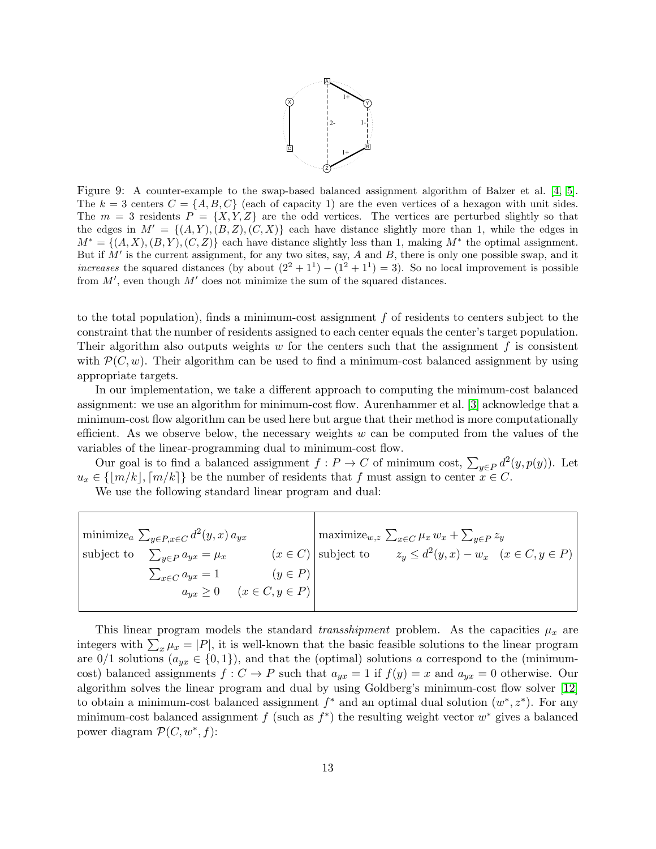

<span id="page-12-0"></span>Figure 9: A counter-example to the swap-based balanced assignment algorithm of Balzer et al. [\[4,](#page-14-3) [5\]](#page-15-7). The  $k = 3$  centers  $C = \{A, B, C\}$  (each of capacity 1) are the even vertices of a hexagon with unit sides. The  $m = 3$  residents  $P = \{X, Y, Z\}$  are the odd vertices. The vertices are perturbed slightly so that the edges in  $M' = \{(A, Y), (B, Z), (C, X)\}\$ each have distance slightly more than 1, while the edges in  $M^* = \{(A, X), (B, Y), (C, Z)\}\$ each have distance slightly less than 1, making  $M^*$  the optimal assignment. But if  $M'$  is the current assignment, for any two sites, say,  $A$  and  $B$ , there is only one possible swap, and it increases the squared distances (by about  $(2^2 + 1^1) - (1^2 + 1^1) = 3$ ). So no local improvement is possible from  $M'$ , even though  $M'$  does not minimize the sum of the squared distances.

to the total population), finds a minimum-cost assignment  $f$  of residents to centers subject to the constraint that the number of residents assigned to each center equals the center's target population. Their algorithm also outputs weights  $w$  for the centers such that the assignment  $f$  is consistent with  $\mathcal{P}(C, w)$ . Their algorithm can be used to find a minimum-cost balanced assignment by using appropriate targets.

In our implementation, we take a different approach to computing the minimum-cost balanced assignment: we use an algorithm for minimum-cost flow. Aurenhammer et al. [\[3\]](#page-14-2) acknowledge that a minimum-cost flow algorithm can be used here but argue that their method is more computationally efficient. As we observe below, the necessary weights  $w$  can be computed from the values of the variables of the linear-programming dual to minimum-cost flow.

Our goal is to find a balanced assignment  $f: P \to C$  of minimum cost,  $\sum_{y \in P} d^2(y, p(y))$ . Let  $u_x \in \{m/k\}, [m/k]\}$  be the number of residents that f must assign to center  $x \in C$ .

We use the following standard linear program and dual:

| minimize <sub>a</sub> $\sum_{y \in P, x \in C} d^2(y, x) a_{yx}$ |                                 |                                          | $\vert$ maximize <sub>w,z</sub> $\sum_{x \in C} \mu_x w_x + \sum_{y \in P} z_y$ |                                                    |  |
|------------------------------------------------------------------|---------------------------------|------------------------------------------|---------------------------------------------------------------------------------|----------------------------------------------------|--|
| subject to                                                       | $\sum_{y \in P} a_{yx} = \mu_x$ |                                          | $(x \in C)$ subject to                                                          | $z_y \le d^2(y, x) - w_x \quad (x \in C, y \in P)$ |  |
|                                                                  | $\sum_{x \in C} a_{yx} = 1$     | $(y \in P)$                              |                                                                                 |                                                    |  |
|                                                                  |                                 | $a_{yx} \geq 0 \quad (x \in C, y \in P)$ |                                                                                 |                                                    |  |
|                                                                  |                                 |                                          |                                                                                 |                                                    |  |

This linear program models the standard transshipment problem. As the capacities  $\mu_x$  are integers with  $\sum_{x} \mu_x = |P|$ , it is well-known that the basic feasible solutions to the linear program are  $0/1$  solutions  $(a_{yx} \in \{0,1\})$ , and that the (optimal) solutions a correspond to the (minimumcost) balanced assignments  $f: C \to P$  such that  $a_{yx} = 1$  if  $f(y) = x$  and  $a_{yx} = 0$  otherwise. Our algorithm solves the linear program and dual by using Goldberg's minimum-cost flow solver [\[12\]](#page-15-11) to obtain a minimum-cost balanced assignment  $f^*$  and an optimal dual solution  $(w^*, z^*)$ . For any minimum-cost balanced assignment f (such as  $f^*$ ) the resulting weight vector  $w^*$  gives a balanced power diagram  $\mathcal{P}(C, w^*, f)$ :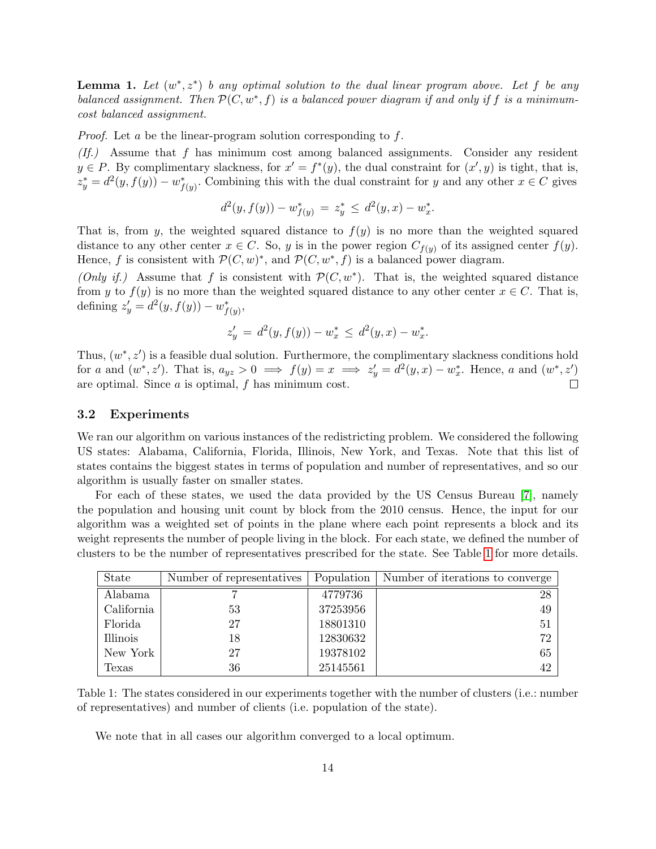**Lemma 1.** Let  $(w^*, z^*)$  b any optimal solution to the dual linear program above. Let f be any balanced assignment. Then  $\mathcal{P}(C, w^*, f)$  is a balanced power diagram if and only if f is a minimumcost balanced assignment.

*Proof.* Let a be the linear-program solution corresponding to  $f$ .

 $(If.)$  Assume that f has minimum cost among balanced assignments. Consider any resident  $y \in P$ . By complimentary slackness, for  $x' = f^*(y)$ , the dual constraint for  $(x', y)$  is tight, that is,  $z_y^* = d^2(y, f(y)) - w_{f(y)}^*$ . Combining this with the dual constraint for y and any other  $x \in C$  gives

$$
d^{2}(y, f(y)) - w_{f(y)}^{*} = z_{y}^{*} \le d^{2}(y, x) - w_{x}^{*}.
$$

That is, from y, the weighted squared distance to  $f(y)$  is no more than the weighted squared distance to any other center  $x \in C$ . So, y is in the power region  $C_{f(y)}$  of its assigned center  $f(y)$ . Hence, f is consistent with  $\mathcal{P}(C, w)^*$ , and  $\mathcal{P}(C, w^*, f)$  is a balanced power diagram.

(Only if.) Assume that f is consistent with  $\mathcal{P}(C, w^*)$ . That is, the weighted squared distance from y to  $f(y)$  is no more than the weighted squared distance to any other center  $x \in C$ . That is, defining  $z'_{y} = d^{2}(y, f(y)) - w_{f(y)}^{*}$ 

$$
z_y' = d^2(y, f(y)) - w_x^* \le d^2(y, x) - w_x^*.
$$

Thus,  $(w^*, z')$  is a feasible dual solution. Furthermore, the complimentary slackness conditions hold for a and  $(w^*, z')$ . That is,  $a_{yz} > 0 \implies f(y) = x \implies z'_y = d^2(y, x) - w_x^*$ . Hence, a and  $(w^*, z')$ are optimal. Since  $a$  is optimal,  $f$  has minimum cost.  $\Box$ 

#### 3.2 Experiments

We ran our algorithm on various instances of the redistricting problem. We considered the following US states: Alabama, California, Florida, Illinois, New York, and Texas. Note that this list of states contains the biggest states in terms of population and number of representatives, and so our algorithm is usually faster on smaller states.

For each of these states, we used the data provided by the US Census Bureau [\[7\]](#page-15-12), namely the population and housing unit count by block from the 2010 census. Hence, the input for our algorithm was a weighted set of points in the plane where each point represents a block and its weight represents the number of people living in the block. For each state, we defined the number of clusters to be the number of representatives prescribed for the state. See Table [1](#page-13-0) for more details.

<span id="page-13-0"></span>

| State      | Number of representatives | Population | Number of iterations to converge |
|------------|---------------------------|------------|----------------------------------|
| Alabama    |                           | 4779736    | 28                               |
| California | 53                        | 37253956   | 49                               |
| Florida    | 27                        | 18801310   | 51                               |
| Illinois   | 18                        | 12830632   | 72                               |
| New York   | 27                        | 19378102   | 65                               |
| Texas      | 36                        | 25145561   | 42                               |

Table 1: The states considered in our experiments together with the number of clusters (i.e.: number of representatives) and number of clients (i.e. population of the state).

We note that in all cases our algorithm converged to a local optimum.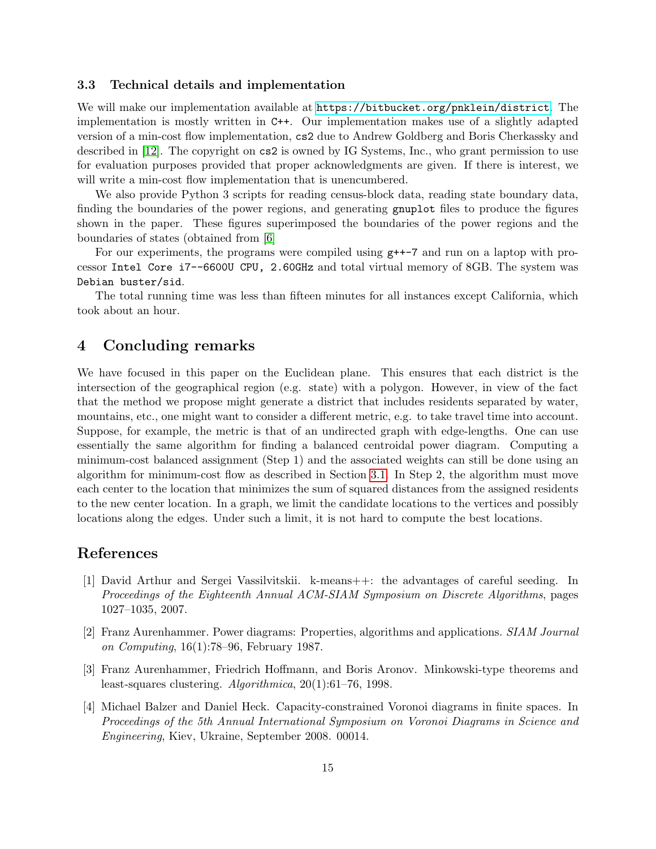#### 3.3 Technical details and implementation

We will make our implementation available at <https://bitbucket.org/pnklein/district>. The implementation is mostly written in C++. Our implementation makes use of a slightly adapted version of a min-cost flow implementation, cs2 due to Andrew Goldberg and Boris Cherkassky and described in [\[12\]](#page-15-11). The copyright on cs2 is owned by IG Systems, Inc., who grant permission to use for evaluation purposes provided that proper acknowledgments are given. If there is interest, we will write a min-cost flow implementation that is unencumbered.

We also provide Python 3 scripts for reading census-block data, reading state boundary data, finding the boundaries of the power regions, and generating gnuplot files to produce the figures shown in the paper. These figures superimposed the boundaries of the power regions and the boundaries of states (obtained from [\[6\]](#page-15-13)

For our experiments, the programs were compiled using g++-7 and run on a laptop with processor Intel Core i7--6600U CPU, 2.60GHz and total virtual memory of 8GB. The system was Debian buster/sid.

The total running time was less than fifteen minutes for all instances except California, which took about an hour.

### 4 Concluding remarks

We have focused in this paper on the Euclidean plane. This ensures that each district is the intersection of the geographical region (e.g. state) with a polygon. However, in view of the fact that the method we propose might generate a district that includes residents separated by water, mountains, etc., one might want to consider a different metric, e.g. to take travel time into account. Suppose, for example, the metric is that of an undirected graph with edge-lengths. One can use essentially the same algorithm for finding a balanced centroidal power diagram. Computing a minimum-cost balanced assignment (Step 1) and the associated weights can still be done using an algorithm for minimum-cost flow as described in Section [3.1.](#page-11-0) In Step 2, the algorithm must move each center to the location that minimizes the sum of squared distances from the assigned residents to the new center location. In a graph, we limit the candidate locations to the vertices and possibly locations along the edges. Under such a limit, it is not hard to compute the best locations.

# References

- <span id="page-14-0"></span>[1] David Arthur and Sergei Vassilvitskii. k-means++: the advantages of careful seeding. In Proceedings of the Eighteenth Annual ACM-SIAM Symposium on Discrete Algorithms, pages 1027–1035, 2007.
- <span id="page-14-1"></span>[2] Franz Aurenhammer. Power diagrams: Properties, algorithms and applications. SIAM Journal on Computing, 16(1):78–96, February 1987.
- <span id="page-14-2"></span>[3] Franz Aurenhammer, Friedrich Hoffmann, and Boris Aronov. Minkowski-type theorems and least-squares clustering. Algorithmica, 20(1):61–76, 1998.
- <span id="page-14-3"></span>[4] Michael Balzer and Daniel Heck. Capacity-constrained Voronoi diagrams in finite spaces. In Proceedings of the 5th Annual International Symposium on Voronoi Diagrams in Science and Engineering, Kiev, Ukraine, September 2008. 00014.